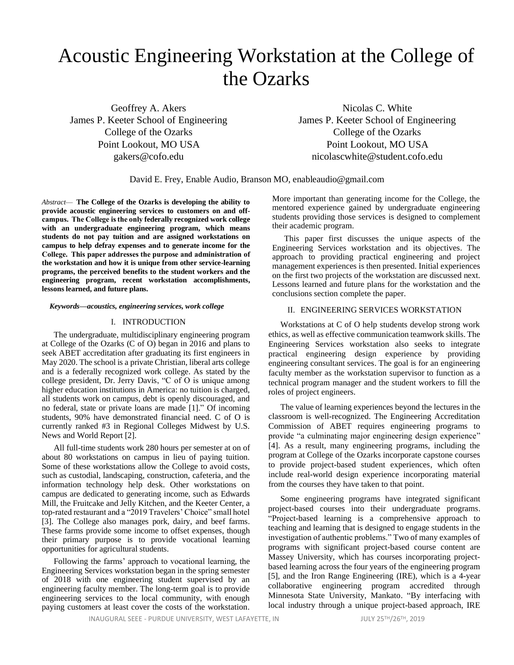# Acoustic Engineering Workstation at the College of the Ozarks

Geoffrey A. Akers Nicolas C. White

James P. Keeter School of Engineering James P. Keeter School of Engineering College of the Ozarks College of the Ozarks Point Lookout, MO USA Point Lookout, MO USA gakers@cofo.edu nicolascwhite@student.cofo.edu

David E. Frey, Enable Audio, Branson MO, enableaudio@gmail.com

*Abstract*— **The College of the Ozarks is developing the ability to provide acoustic engineering services to customers on and offcampus.  The College is the only federally recognized work college with an undergraduate engineering program, which means students do not pay tuition and are assigned workstations on campus to help defray expenses and to generate income for the College.  This paper addresses the purpose and administration of the workstation and how it is unique from other service-learning programs, the perceived benefits to the student workers and the engineering program, recent workstation accomplishments, lessons learned, and future plans.**

#### *Keywords—acoustics, engineering services, work college*

#### I. INTRODUCTION

The undergraduate, multidisciplinary engineering program at College of the Ozarks (C of O) began in 2016 and plans to seek ABET accreditation after graduating its first engineers in May 2020. The school is a private Christian, liberal arts college and is a federally recognized work college. As stated by the college president, Dr. Jerry Davis, "C of O is unique among higher education institutions in America: no tuition is charged, all students work on campus, debt is openly discouraged, and no federal, state or private loans are made [1]." Of incoming students, 90% have demonstrated financial need. C of O is currently ranked #3 in Regional Colleges Midwest by U.S. News and World Report [2].

All full-time students work 280 hours per semester at on of about 80 workstations on campus in lieu of paying tuition. Some of these workstations allow the College to avoid costs, such as custodial, landscaping, construction, cafeteria, and the information technology help desk. Other workstations on campus are dedicated to generating income, such as Edwards Mill, the Fruitcake and Jelly Kitchen, and the Keeter Center, a top-rated restaurant and a "2019 Travelers' Choice" small hotel [3]. The College also manages pork, dairy, and beef farms. These farms provide some income to offset expenses, though their primary purpose is to provide vocational learning opportunities for agricultural students.

Following the farms' approach to vocational learning, the Engineering Services workstation began in the spring semester of 2018 with one engineering student supervised by an engineering faculty member. The long-term goal is to provide engineering services to the local community, with enough paying customers at least cover the costs of the workstation.

More important than generating income for the College, the mentored experience gained by undergraduate engineering students providing those services is designed to complement their academic program.

This paper first discusses the unique aspects of the Engineering Services workstation and its objectives. The approach to providing practical engineering and project management experiences is then presented. Initial experiences on the first two projects of the workstation are discussed next. Lessons learned and future plans for the workstation and the conclusions section complete the paper.

# II. ENGINEERING SERVICES WORKSTATION

Workstations at C of O help students develop strong work ethics, as well as effective communication teamwork skills. The Engineering Services workstation also seeks to integrate practical engineering design experience by providing engineering consultant services. The goal is for an engineering faculty member as the workstation supervisor to function as a technical program manager and the student workers to fill the roles of project engineers.

The value of learning experiences beyond the lectures in the classroom is well-recognized. The Engineering Accreditation Commission of ABET requires engineering programs to provide "a culminating major engineering design experience" [4]. As a result, many engineering programs, including the program at College of the Ozarks incorporate capstone courses to provide project-based student experiences, which often include real-world design experience incorporating material from the courses they have taken to that point.

Some engineering programs have integrated significant project-based courses into their undergraduate programs. "Project-based learning is a comprehensive approach to teaching and learning that is designed to engage students in the investigation of authentic problems." Two of many examples of programs with significant project-based course content are Massey University, which has courses incorporating projectbased learning across the four years of the engineering program [5], and the Iron Range Engineering (IRE), which is a 4-year collaborative engineering program accredited through Minnesota State University, Mankato. "By interfacing with local industry through a unique project-based approach, IRE

INAUGURAL SEEE - PURDUE UNIVERSITY, WEST LAFAYETTE, IN JULY 25TH/26TH, 2019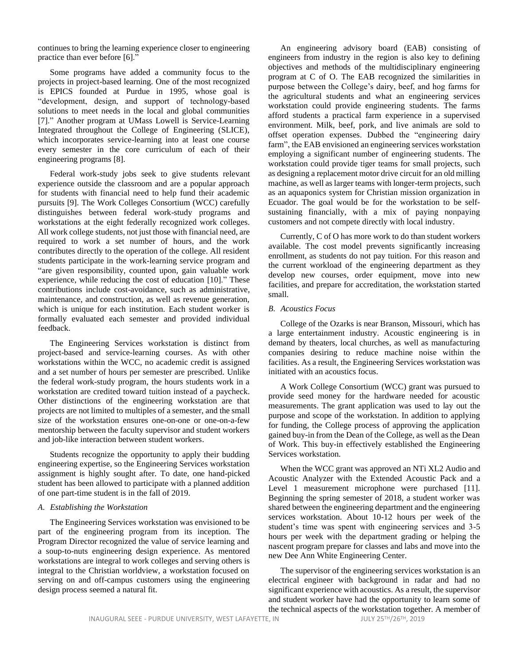continues to bring the learning experience closer to engineering practice than ever before [6]."

Some programs have added a community focus to the projects in project-based learning. One of the most recognized is EPICS founded at Purdue in 1995, whose goal is "development, design, and support of technology-based solutions to meet needs in the local and global communities [7]." Another program at UMass Lowell is Service-Learning Integrated throughout the College of Engineering (SLICE), which incorporates service-learning into at least one course every semester in the core curriculum of each of their engineering programs [8].

Federal work-study jobs seek to give students relevant experience outside the classroom and are a popular approach for students with financial need to help fund their academic pursuits [9]. The Work Colleges Consortium (WCC) carefully distinguishes between federal work-study programs and workstations at the eight federally recognized work colleges. All work college students, not just those with financial need, are required to work a set number of hours, and the work contributes directly to the operation of the college. All resident students participate in the work-learning service program and "are given responsibility, counted upon, gain valuable work experience, while reducing the cost of education [10]." These contributions include cost-avoidance, such as administrative, maintenance, and construction, as well as revenue generation, which is unique for each institution. Each student worker is formally evaluated each semester and provided individual feedback.

The Engineering Services workstation is distinct from project-based and service-learning courses. As with other workstations within the WCC, no academic credit is assigned and a set number of hours per semester are prescribed. Unlike the federal work-study program, the hours students work in a workstation are credited toward tuition instead of a paycheck. Other distinctions of the engineering workstation are that projects are not limited to multiples of a semester, and the small size of the workstation ensures one-on-one or one-on-a-few mentorship between the faculty supervisor and student workers and job-like interaction between student workers.

Students recognize the opportunity to apply their budding engineering expertise, so the Engineering Services workstation assignment is highly sought after. To date, one hand-picked student has been allowed to participate with a planned addition of one part-time student is in the fall of 2019.

#### *A. Establishing the Workstation*

The Engineering Services workstation was envisioned to be part of the engineering program from its inception. The Program Director recognized the value of service learning and a soup-to-nuts engineering design experience. As mentored workstations are integral to work colleges and serving others is integral to the Christian worldview, a workstation focused on serving on and off-campus customers using the engineering design process seemed a natural fit.

An engineering advisory board (EAB) consisting of engineers from industry in the region is also key to defining objectives and methods of the multidisciplinary engineering program at C of O. The EAB recognized the similarities in purpose between the College's dairy, beef, and hog farms for the agricultural students and what an engineering services workstation could provide engineering students. The farms afford students a practical farm experience in a supervised environment. Milk, beef, pork, and live animals are sold to offset operation expenses. Dubbed the "engineering dairy farm", the EAB envisioned an engineering services workstation employing a significant number of engineering students. The workstation could provide tiger teams for small projects, such as designing a replacement motor drive circuit for an old milling machine, as well as larger teams with longer-term projects, such as an aquaponics system for Christian mission organization in Ecuador. The goal would be for the workstation to be selfsustaining financially, with a mix of paying nonpaying customers and not compete directly with local industry.

Currently, C of O has more work to do than student workers available. The cost model prevents significantly increasing enrollment, as students do not pay tuition. For this reason and the current workload of the engineering department as they develop new courses, order equipment, move into new facilities, and prepare for accreditation, the workstation started small.

# *B. Acoustics Focus*

College of the Ozarks is near Branson, Missouri, which has a large entertainment industry. Acoustic engineering is in demand by theaters, local churches, as well as manufacturing companies desiring to reduce machine noise within the facilities. As a result, the Engineering Services workstation was initiated with an acoustics focus.

A Work College Consortium (WCC) grant was pursued to provide seed money for the hardware needed for acoustic measurements. The grant application was used to lay out the purpose and scope of the workstation. In addition to applying for funding, the College process of approving the application gained buy-in from the Dean of the College, as well as the Dean of Work. This buy-in effectively established the Engineering Services workstation.

When the WCC grant was approved an NTi XL2 Audio and Acoustic Analyzer with the Extended Acoustic Pack and a Level 1 measurement microphone were purchased [11]. Beginning the spring semester of 2018, a student worker was shared between the engineering department and the engineering services workstation. About 10-12 hours per week of the student's time was spent with engineering services and 3-5 hours per week with the department grading or helping the nascent program prepare for classes and labs and move into the new Dee Ann White Engineering Center.

The supervisor of the engineering services workstation is an electrical engineer with background in radar and had no significant experience with acoustics. As a result, the supervisor and student worker have had the opportunity to learn some of the technical aspects of the workstation together. A member of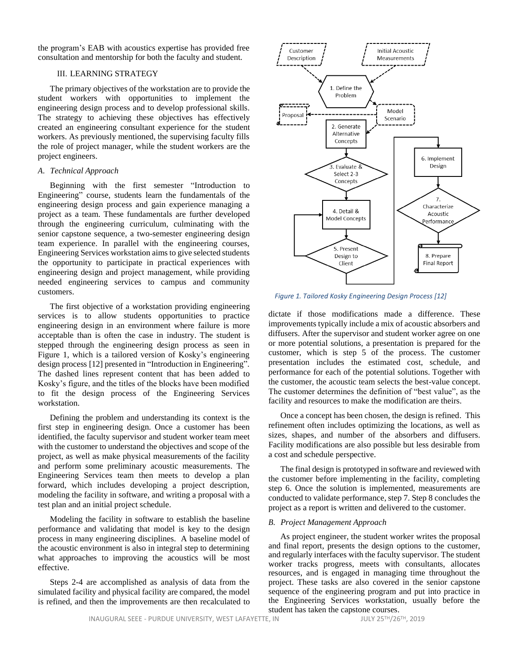the program's EAB with acoustics expertise has provided free consultation and mentorship for both the faculty and student.

# III. LEARNING STRATEGY

The primary objectives of the workstation are to provide the student workers with opportunities to implement the engineering design process and to develop professional skills. The strategy to achieving these objectives has effectively created an engineering consultant experience for the student workers. As previously mentioned, the supervising faculty fills the role of project manager, while the student workers are the project engineers.

# *A. Technical Approach*

Beginning with the first semester "Introduction to Engineering" course, students learn the fundamentals of the engineering design process and gain experience managing a project as a team. These fundamentals are further developed through the engineering curriculum, culminating with the senior capstone sequence, a two-semester engineering design team experience. In parallel with the engineering courses, Engineering Services workstation aims to give selected students the opportunity to participate in practical experiences with engineering design and project management, while providing needed engineering services to campus and community customers.

The first objective of a workstation providing engineering services is to allow students opportunities to practice engineering design in an environment where failure is more acceptable than is often the case in industry. The student is stepped through the engineering design process as seen in Figure 1, which is a tailored version of Kosky's engineering design process [12] presented in "Introduction in Engineering". The dashed lines represent content that has been added to Kosky's figure, and the titles of the blocks have been modified to fit the design process of the Engineering Services workstation.

Defining the problem and understanding its context is the first step in engineering design. Once a customer has been identified, the faculty supervisor and student worker team meet with the customer to understand the objectives and scope of the project, as well as make physical measurements of the facility and perform some preliminary acoustic measurements. The Engineering Services team then meets to develop a plan forward, which includes developing a project description, modeling the facility in software, and writing a proposal with a test plan and an initial project schedule.

Modeling the facility in software to establish the baseline performance and validating that model is key to the design process in many engineering disciplines. A baseline model of the acoustic environment is also in integral step to determining what approaches to improving the acoustics will be most effective.

Steps 2-4 are accomplished as analysis of data from the simulated facility and physical facility are compared, the model is refined, and then the improvements are then recalculated to



<span id="page-2-0"></span>*Figure 1. Tailored Kosky Engineering Design Process [12]*

dictate if those modifications made a difference. These improvements typically include a mix of acoustic absorbers and diffusers. After the supervisor and student worker agree on one or more potential solutions, a presentation is prepared for the customer, which is step 5 of the process. The customer presentation includes the estimated cost, schedule, and performance for each of the potential solutions. Together with the customer, the acoustic team selects the best-value concept. The customer determines the definition of "best value", as the facility and resources to make the modification are theirs.

Once a concept has been chosen, the design is refined. This refinement often includes optimizing the locations, as well as sizes, shapes, and number of the absorbers and diffusers. Facility modifications are also possible but less desirable from a cost and schedule perspective.

The final design is prototyped in software and reviewed with the customer before implementing in the facility, completing step 6. Once the solution is implemented, measurements are conducted to validate performance, step 7. Step 8 concludes the project as a report is written and delivered to the customer.

# *B. Project Management Approach*

As project engineer, the student worker writes the proposal and final report, presents the design options to the customer, and regularly interfaces with the faculty supervisor. The student worker tracks progress, meets with consultants, allocates resources, and is engaged in managing time throughout the project. These tasks are also covered in the senior capstone sequence of the engineering program and put into practice in the Engineering Services workstation, usually before the student has taken the capstone courses.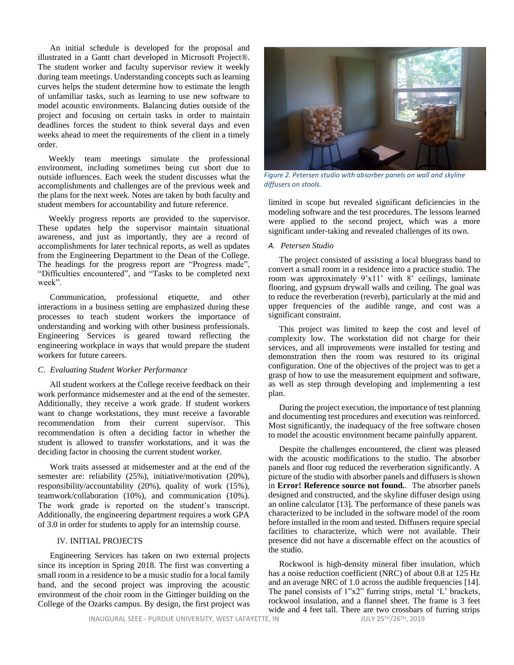An initial schedule is developed for the proposal and illustrated in a Gantt chart developed in Microsoft Project®. The student worker and faculty supervisor review it weekly during team meetings. Understanding concepts such as learning curves helps the student determine how to estimate the length of unfamiliar tasks, such as learning to use new software to model acoustic environments. Balancing duties outside of the project and focusing on certain tasks in order to maintain deadlines forces the student to think several days and even weeks ahead to meet the requirements of the client in a timely order.

Weekly team meetings simulate the professional environment, including sometimes being cut short due to outside influences. Each week the student discusses what the accomplishments and challenges are of the previous week and the plans for the next week. Notes are taken by both faculty and student members for accountability and future reference.

Weekly progress reports are provided to the supervisor. These updates help the supervisor maintain situational awareness, and just as importantly, they are a record of accomplishments for later technical reports, as well as updates from the Engineering Department to the Dean of the College. The headings for the progress report are "Progress made", "Difficulties encountered", and "Tasks to be completed next week".

Communication, professional etiquette, and other interactions in a business setting are emphasized during these processes to teach student workers the importance of understanding and working with other business professionals. Engineering Services is geared toward reflecting the engineering workplace in ways that would prepare the student workers for future careers.

# *C. Evaluating Student Worker Performance*

All student workers at the College receive feedback on their work performance midsemester and at the end of the semester. Additionally, they receive a work grade. If student workers want to change workstations, they must receive a favorable recommendation from their current supervisor. This recommendation is often a deciding factor in whether the student is allowed to transfer workstations, and it was the deciding factor in choosing the current student worker.

Work traits assessed at midsemester and at the end of the semester are: reliability (25%), initiative/motivation (20%), responsibility/accountability (20%), quality of work (15%), teamwork/collaboration (10%), and communication (10%). The work grade is reported on the student's transcript. Additionally, the engineering department requires a work GPA of 3.0 in order for students to apply for an internship course.

# IV. INITIAL PROJECTS

Engineering Services has taken on two external projects since its inception in Spring 2018. The first was converting a small room in a residence to be a music studio for a local family band, and the second project was improving the acoustic environment of the choir room in the Gittinger building on the College of the Ozarks campus. By design, the first project was



*Figure 2. Petersen studio with absorber panels on wall and skyline diffusers on stools.*

limited in scope but revealed significant deficiencies in the modeling software and the test procedures. The lessons learned were applied to the second project, which was a more significant under-taking and revealed challenges of its own.

#### *A. Petersen Studio*

The project consisted of assisting a local bluegrass band to convert a small room in a residence into a practice studio. The room was approximately  $9'x11'$  with  $8'$  ceilings, laminate flooring, and gypsum drywall walls and ceiling. The goal was to reduce the reverberation (reverb), particularly at the mid and upper frequencies of the audible range, and cost was a significant constraint.

This project was limited to keep the cost and level of complexity low. The workstation did not charge for their services, and all improvements were installed for testing and demonstration then the room was restored to its original configuration. One of the objectives of the project was to get a grasp of how to use the measurement equipment and software, as well as step through developing and implementing a test plan.

During the project execution, the importance of test planning and documenting test procedures and execution was reinforced. Most significantly, the inadequacy of the free software chosen to model the acoustic environment became painfully apparent.

Despite the challenges encountered, the client was pleased with the acoustic modifications to the studio. The absorber panels and floor rug reduced the reverberation significantly. A picture of the studio with absorber panels and diffusers is shown in **Error! Reference source not found.**. The absorber panels designed and constructed, and the skyline diffuser design using an online calculator [13]. The performance of these panels was characterized to be included in the software model of the room before installed in the room and tested. Diffusers require special facilities to characterize, which were not available. Their presence did not have a discernable effect on the acoustics of the studio.

Rockwool is high-density mineral fiber insulation, which has a noise reduction coefficient (NRC) of about 0.8 at 125 Hz and an average NRC of 1.0 across the audible frequencies [14]. The panel consists of 1"x2" furring strips, metal 'L' brackets, rockwool insulation, and a flannel sheet. The frame is 3 feet wide and 4 feet tall. There are two crossbars of furring strips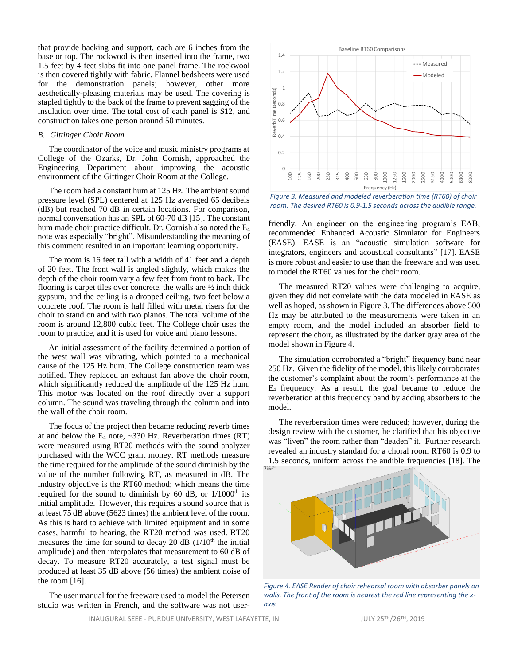that provide backing and support, each are 6 inches from the base or top. The rockwool is then inserted into the frame, two 1.5 feet by 4 feet slabs fit into one panel frame. The rockwool is then covered tightly with fabric. Flannel bedsheets were used for the demonstration panels; however, other more aesthetically-pleasing materials may be used. The covering is stapled tightly to the back of the frame to prevent sagging of the insulation over time. The total cost of each panel is \$12, and construction takes one person around 50 minutes.

## *B. Gittinger Choir Room*

The coordinator of the voice and music ministry programs at College of the Ozarks, Dr. John Cornish, approached the Engineering Department about improving the acoustic environment of the Gittinger Choir Room at the College.

The room had a constant hum at 125 Hz. The ambient sound pressure level (SPL) centered at 125 Hz averaged 65 decibels (dB) but reached 70 dB in certain locations. For comparison, normal conversation has an SPL of 60-70 dB [15]. The constant hum made choir practice difficult. Dr. Cornish also noted the E<sub>4</sub> note was especially "bright". Misunderstanding the meaning of this comment resulted in an important learning opportunity.

The room is 16 feet tall with a width of 41 feet and a depth of 20 feet. The front wall is angled slightly, which makes the depth of the choir room vary a few feet from front to back. The flooring is carpet tiles over concrete, the walls are  $\frac{1}{2}$  inch thick gypsum, and the ceiling is a dropped ceiling, two feet below a concrete roof. The room is half filled with metal risers for the choir to stand on and with two pianos. The total volume of the room is around 12,800 cubic feet. The College choir uses the room to practice, and it is used for voice and piano lessons.

An initial assessment of the facility determined a portion of the west wall was vibrating, which pointed to a mechanical cause of the 125 Hz hum. The College construction team was notified. They replaced an exhaust fan above the choir room, which significantly reduced the amplitude of the 125 Hz hum. This motor was located on the roof directly over a support column. The sound was traveling through the column and into the wall of the choir room.

The focus of the project then became reducing reverb times at and below the  $E_4$  note,  $\sim$ 330 Hz. Reverberation times (RT) were measured using RT20 methods with the sound analyzer purchased with the WCC grant money. RT methods measure the time required for the amplitude of the sound diminish by the value of the number following RT, as measured in dB. The industry objective is the RT60 method; which means the time required for the sound to diminish by  $60$  dB, or  $1/1000$ <sup>th</sup> its initial amplitude. However, this requires a sound source that is at least 75 dB above (5623 times) the ambient level of the room. As this is hard to achieve with limited equipment and in some cases, harmful to hearing, the RT20 method was used. RT20 measures the time for sound to decay 20 dB  $(1/10<sup>th</sup>$  the initial amplitude) and then interpolates that measurement to 60 dB of decay. To measure RT20 accurately, a test signal must be produced at least 35 dB above (56 times) the ambient noise of the room [16].

The user manual for the freeware used to model the Petersen studio was written in French, and the software was not user-



<span id="page-4-0"></span>*Figure 3. Measured and modeled reverberation time (RT60) of choir room. The desired RT60 is 0.9-1.5 seconds across the audible range.*

friendly. An engineer on the engineering program's EAB, recommended Enhanced Acoustic Simulator for Engineers (EASE). EASE is an "acoustic simulation software for integrators, engineers and acoustical consultants" [17]. EASE is more robust and easier to use than the freeware and was used to model the RT60 values for the choir room.

The measured RT20 values were challenging to acquire, given they did not correlate with the data modeled in EASE as well as hoped, as shown i[n Figure 3.](#page-4-0) The differences above 500 Hz may be attributed to the measurements were taken in an empty room, and the model included an absorber field to represent the choir, as illustrated by the darker gray area of the model shown in [Figure 4.](#page-4-1)

The simulation corroborated a "bright" frequency band near 250 Hz. Given the fidelity of the model, this likely corroborates the customer's complaint about the room's performance at the E<sup>4</sup> frequency. As a result, the goal became to reduce the reverberation at this frequency band by adding absorbers to the model.

The reverberation times were reduced; however, during the design review with the customer, he clarified that his objective was "liven" the room rather than "deaden" it. Further research revealed an industry standard for a choral room RT60 is 0.9 to 1.5 seconds, uniform across the audible frequencies [18]. The

<span id="page-4-1"></span>

*Figure 4. EASE Render of choir rehearsal room with absorber panels on walls. The front of the room is nearest the red line representing the xaxis.*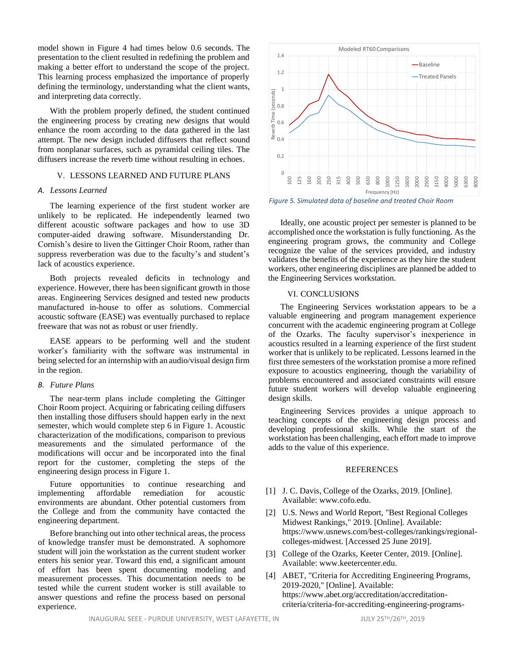model shown in [Figure 4](#page-4-1) had times below 0.6 seconds. The presentation to the client resulted in redefining the problem and making a better effort to understand the scope of the project. This learning process emphasized the importance of properly defining the terminology, understanding what the client wants, and interpreting data correctly.

With the problem properly defined, the student continued the engineering process by creating new designs that would enhance the room according to the data gathered in the last attempt. The new design included diffusers that reflect sound from nonplanar surfaces, such as pyramidal ceiling tiles. The diffusers increase the reverb time without resulting in echoes.

# V. LESSONS LEARNED AND FUTURE PLANS

# *A. Lessons Learned*

The learning experience of the first student worker are unlikely to be replicated. He independently learned two different acoustic software packages and how to use 3D computer-aided drawing software. Misunderstanding Dr. Cornish's desire to liven the Gittinger Choir Room, rather than suppress reverberation was due to the faculty's and student's lack of acoustics experience.

Both projects revealed deficits in technology and experience. However, there has been significant growth in those areas. Engineering Services designed and tested new products manufactured in-house to offer as solutions. Commercial acoustic software (EASE) was eventually purchased to replace freeware that was not as robust or user friendly.

EASE appears to be performing well and the student worker's familiarity with the software was instrumental in being selected for an internship with an audio/visual design firm in the region.

#### *B. Future Plans*

The near-term plans include completing the Gittinger Choir Room project. Acquiring or fabricating ceiling diffusers then installing those diffusers should happen early in the next semester, which would complete step 6 in [Figure 1.](#page-2-0) Acoustic characterization of the modifications, comparison to previous measurements and the simulated performance of the modifications will occur and be incorporated into the final report for the customer, completing the steps of the engineering design process in [Figure 1.](#page-2-0)

Future opportunities to continue researching and implementing affordable remediation for acoustic environments are abundant. Other potential customers from the College and from the community have contacted the engineering department.

Before branching out into other technical areas, the process of knowledge transfer must be demonstrated. A sophomore student will join the workstation as the current student worker enters his senior year. Toward this end, a significant amount of effort has been spent documenting modeling and measurement processes. This documentation needs to be tested while the current student worker is still available to answer questions and refine the process based on personal experience.



*Figure 5. Simulated data of baseline and treated Choir Room*

Ideally, one acoustic project per semester is planned to be accomplished once the workstation is fully functioning. As the engineering program grows, the community and College recognize the value of the services provided, and industry validates the benefits of the experience as they hire the student workers, other engineering disciplines are planned be added to the Engineering Services workstation.

## VI. CONCLUSIONS

The Engineering Services workstation appears to be a valuable engineering and program management experience concurrent with the academic engineering program at College of the Ozarks. The faculty supervisor's inexperience in acoustics resulted in a learning experience of the first student worker that is unlikely to be replicated. Lessons learned in the first three semesters of the workstation promise a more refined exposure to acoustics engineering, though the variability of problems encountered and associated constraints will ensure future student workers will develop valuable engineering design skills.

Engineering Services provides a unique approach to teaching concepts of the engineering design process and developing professional skills. While the start of the workstation has been challenging, each effort made to improve adds to the value of this experience.

#### REFERENCES

- [1] J. C. Davis, College of the Ozarks, 2019. [Online]. Available: www.cofo.edu.
- [2] U.S. News and World Report, "Best Regional Colleges Midwest Rankings," 2019. [Online]. Available: https://www.usnews.com/best-colleges/rankings/regionalcolleges-midwest. [Accessed 25 June 2019].
- [3] College of the Ozarks, Keeter Center, 2019. [Online]. Available: www.keetercenter.edu.
- [4] ABET, "Criteria for Accrediting Engineering Programs, 2019-2020," [Online]. Available: https://www.abet.org/accreditation/accreditationcriteria/criteria-for-accrediting-engineering-programs-